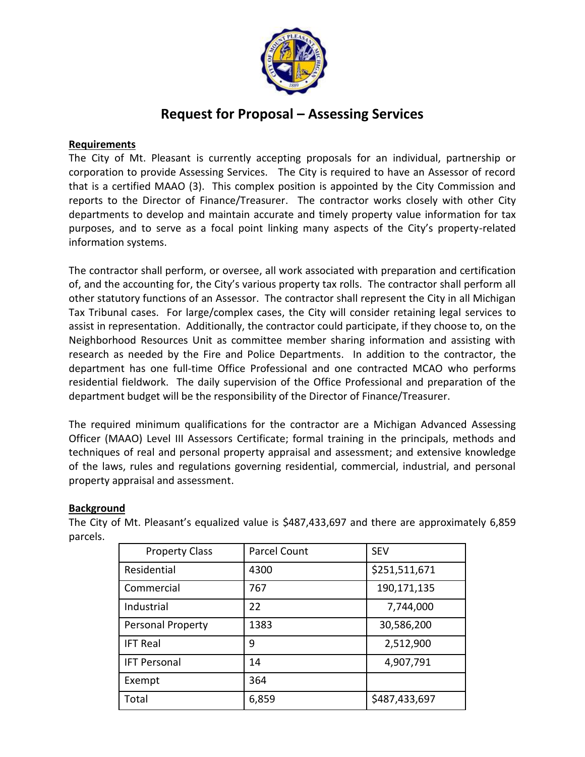

# **Request for Proposal – Assessing Services**

### **Requirements**

The City of Mt. Pleasant is currently accepting proposals for an individual, partnership or corporation to provide Assessing Services. The City is required to have an Assessor of record that is a certified MAAO (3). This complex position is appointed by the City Commission and reports to the Director of Finance/Treasurer. The contractor works closely with other City departments to develop and maintain accurate and timely property value information for tax purposes, and to serve as a focal point linking many aspects of the City's property-related information systems.

The contractor shall perform, or oversee, all work associated with preparation and certification of, and the accounting for, the City's various property tax rolls. The contractor shall perform all other statutory functions of an Assessor. The contractor shall represent the City in all Michigan Tax Tribunal cases. For large/complex cases, the City will consider retaining legal services to assist in representation. Additionally, the contractor could participate, if they choose to, on the Neighborhood Resources Unit as committee member sharing information and assisting with research as needed by the Fire and Police Departments. In addition to the contractor, the department has one full-time Office Professional and one contracted MCAO who performs residential fieldwork. The daily supervision of the Office Professional and preparation of the department budget will be the responsibility of the Director of Finance/Treasurer.

The required minimum qualifications for the contractor are a Michigan Advanced Assessing Officer (MAAO) Level III Assessors Certificate; formal training in the principals, methods and techniques of real and personal property appraisal and assessment; and extensive knowledge of the laws, rules and regulations governing residential, commercial, industrial, and personal property appraisal and assessment.

### **Background**

The City of Mt. Pleasant's equalized value is \$487,433,697 and there are approximately 6,859 parcels.

| <b>Property Class</b> | Parcel Count | <b>SEV</b>    |
|-----------------------|--------------|---------------|
| Residential           | 4300         | \$251,511,671 |
| Commercial            | 767          | 190,171,135   |
| Industrial            | 22           | 7,744,000     |
| Personal Property     | 1383         | 30,586,200    |
| <b>IFT Real</b>       | 9            | 2,512,900     |
| <b>IFT Personal</b>   | 14           | 4,907,791     |
| Exempt                | 364          |               |
| Total                 | 6,859        | \$487,433,697 |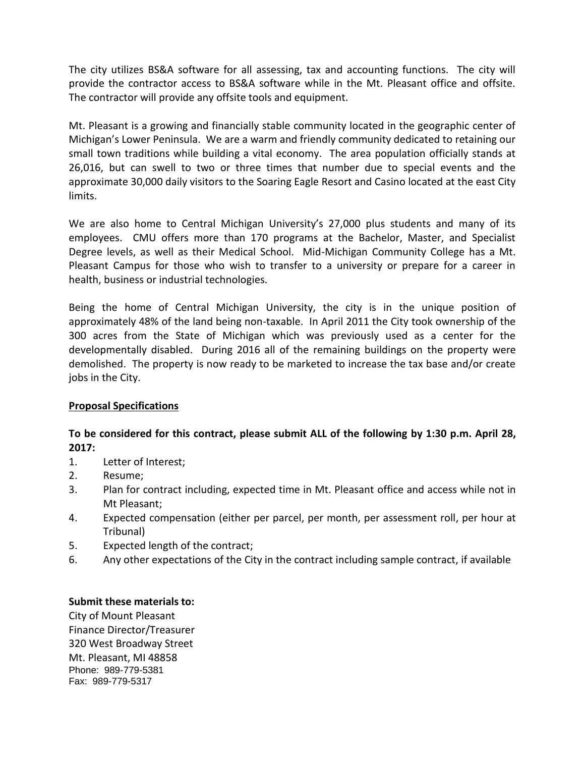The city utilizes BS&A software for all assessing, tax and accounting functions. The city will provide the contractor access to BS&A software while in the Mt. Pleasant office and offsite. The contractor will provide any offsite tools and equipment.

Mt. Pleasant is a growing and financially stable community located in the geographic center of Michigan's Lower Peninsula. We are a warm and friendly community dedicated to retaining our small town traditions while building a vital economy. The area population officially stands at 26,016, but can swell to two or three times that number due to special events and the approximate 30,000 daily visitors to the Soaring Eagle Resort and Casino located at the east City limits.

We are also home to Central Michigan University's 27,000 plus students and many of its employees. CMU offers more than 170 programs at the Bachelor, Master, and Specialist Degree levels, as well as their Medical School. Mid-Michigan Community College has a Mt. Pleasant Campus for those who wish to transfer to a university or prepare for a career in health, business or industrial technologies.

Being the home of Central Michigan University, the city is in the unique position of approximately 48% of the land being non-taxable. In April 2011 the City took ownership of the 300 acres from the State of Michigan which was previously used as a center for the developmentally disabled. During 2016 all of the remaining buildings on the property were demolished. The property is now ready to be marketed to increase the tax base and/or create jobs in the City.

### **Proposal Specifications**

## **To be considered for this contract, please submit ALL of the following by 1:30 p.m. April 28, 2017:**

- 1. Letter of Interest;
- 2. Resume;
- 3. Plan for contract including, expected time in Mt. Pleasant office and access while not in Mt Pleasant;
- 4. Expected compensation (either per parcel, per month, per assessment roll, per hour at Tribunal)
- 5. Expected length of the contract;
- 6. Any other expectations of the City in the contract including sample contract, if available

### **Submit these materials to:**

City of Mount Pleasant Finance Director/Treasurer 320 West Broadway Street Mt. Pleasant, MI 48858 Phone: 989-779-5381 Fax: 989-779-5317